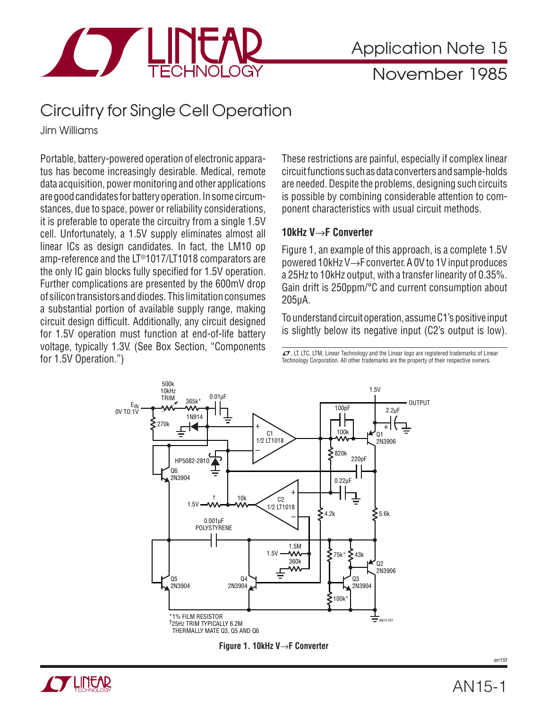

## Circuitry for Single Cell Operation

Jim Williams

Portable, battery-powered operation of electronic apparatus has become increasingly desirable. Medical, remote data acquisition, power monitoring and other applications are good candidates for battery operation. In some circumstances, due to space, power or reliability considerations, it is preferable to operate the circuitry from a single 1.5V cell. Unfortunately, a 1.5V supply eliminates almost all linear ICs as design candidates. In fact, the LM10 op amp-reference and the LT®1017/LT1018 comparators are the only IC gain blocks fully specified for 1.5V operation. Further complications are presented by the 600mV drop of silicon transistors and diodes. This limitation consumes a substantial portion of available supply range, making circuit design difficult. Additionally, any circuit designed for 1.5V operation must function at end-of-life battery voltage, typically 1.3V. (See Box Section, "Components for 1.5V Operation.")

These restrictions are painful, especially if complex linear circuit functions such as data converters and sample-holds are needed. Despite the problems, designing such circuits is possible by combining considerable attention to component characteristics with usual circuit methods.

### **10kHz V**→**F Converter**

Figure 1, an example of this approach, is a complete 1.5V powered 10kHz V→F converter. A 0V to 1V input produces a 25Hz to 10kHz output, with a transfer linearity of 0.35%. Gain drift is 250ppm/°C and current consumption about 205μA.

To understand circuit operation, assume C1's positive input is slightly below its negative input (C2's output is low).

 $\textbf{\textit{L}}$ , LT, LTC, LTM, Linear Technology and the Linear logo are registered trademarks of Linear Technology Corporation. All other trademarks are the property of their respective owners.





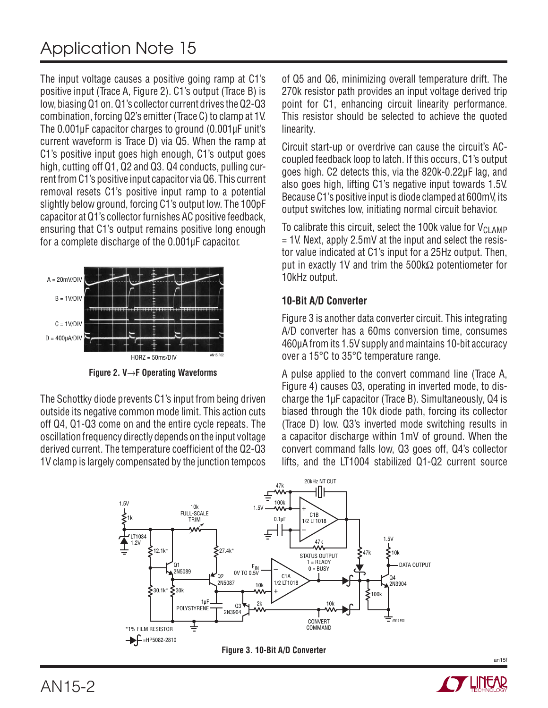# Application Note 15

The input voltage causes a positive going ramp at C1's positive input (Trace A, Figure 2). C1's output (Trace B) is low, biasing Q1 on. Q1's collector current drives the Q2-Q3 combination, forcing Q2's emitter (Trace C) to clamp at 1V. The 0.001 uF capacitor charges to ground (0.001 uF unit's current waveform is Trace D) via Q5. When the ramp at C1's positive input goes high enough, C1's output goes high, cutting off Q1, Q2 and Q3. Q4 conducts, pulling current from C1's positive input capacitor via Q6. This current removal resets C1's positive input ramp to a potential slightly below ground, forcing C1's output low. The 100pF capacitor at Q1's collector furnishes AC positive feedback, ensuring that C1's output remains positive long enough for a complete discharge of the 0.001μF capacitor.



**Figure 2. V**→**F Operating Waveforms**

The Schottky diode prevents C1's input from being driven outside its negative common mode limit. This action cuts off Q4, Q1-Q3 come on and the entire cycle repeats. The oscillation frequency directly depends on the input voltage derived current. The temperature coefficient of the Q2-Q3 1V clamp is largely compensated by the junction tempcos of Q5 and Q6, minimizing overall temperature drift. The 270k resistor path provides an input voltage derived trip point for C1, enhancing circuit linearity performance. This resistor should be selected to achieve the quoted linearity.

Circuit start-up or overdrive can cause the circuit's ACcoupled feedback loop to latch. If this occurs, C1's output goes high. C2 detects this, via the 820k-0.22μF lag, and also goes high, lifting C1's negative input towards 1.5V. Because C1's positive input is diode clamped at 600mV, its output switches low, initiating normal circuit behavior.

To calibrate this circuit, select the 100k value for  $V_{\text{Cl AMP}}$  $= 1V$ . Next, apply 2.5mV at the input and select the resistor value indicated at C1's input for a 25Hz output. Then, put in exactly 1V and trim the 500kΩ potentiometer for 10kHz output.

## **10-Bit A/D Converter**

Figure 3 is another data converter circuit. This integrating A/D converter has a 60ms conversion time, consumes 460μA from its 1.5V supply and maintains 10-bit accuracy over a 15°C to 35°C temperature range.

A pulse applied to the convert command line (Trace A, Figure 4) causes Q3, operating in inverted mode, to discharge the 1μF capacitor (Trace B). Simultaneously, Q4 is biased through the 10k diode path, forcing its collector (Trace D) low. Q3's inverted mode switching results in a capacitor discharge within 1mV of ground. When the convert command falls low, Q3 goes off, Q4's collector lifts, and the LT1004 stabilized Q1-Q2 current source





an15f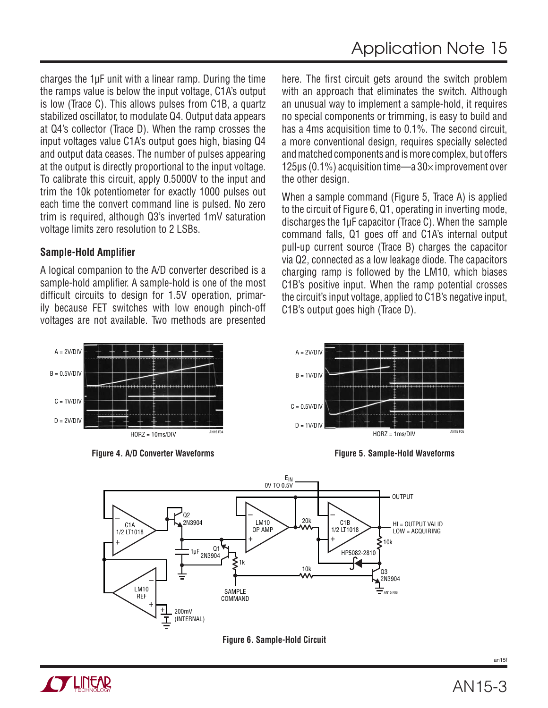charges the 1μF unit with a linear ramp. During the time the ramps value is below the input voltage, C1A's output is low (Trace C). This allows pulses from C1B, a quartz stabilized oscillator, to modulate Q4. Output data appears at Q4's collector (Trace D). When the ramp crosses the input voltages value C1A's output goes high, biasing Q4 and output data ceases. The number of pulses appearing at the output is directly proportional to the input voltage. To calibrate this circuit, apply 0.5000V to the input and trim the 10k potentiometer for exactly 1000 pulses out each time the convert command line is pulsed. No zero trim is required, although Q3's inverted 1mV saturation voltage limits zero resolution to 2 LSBs.

## **Sample-Hold Amplifier**

A logical companion to the A/D converter described is a sample-hold amplifier. A sample-hold is one of the most difficult circuits to design for 1.5V operation, primarily because FET switches with low enough pinch-off voltages are not available. Two methods are presented



**Figure 4. A/D Converter Waveforms Figure 5. Sample-Hold Waveforms**

here. The first circuit gets around the switch problem with an approach that eliminates the switch. Although an unusual way to implement a sample-hold, it requires no special components or trimming, is easy to build and has a 4ms acquisition time to 0.1%. The second circuit, a more conventional design, requires specially selected and matched components and is more complex, but offers 125μs (0.1%) acquisition time—a  $30\times$  improvement over the other design.

When a sample command (Figure 5, Trace A) is applied to the circuit of Figure 6, Q1, operating in inverting mode, discharges the 1μF capacitor (Trace C). When the sample command falls, Q1 goes off and C1A's internal output pull-up current source (Trace B) charges the capacitor via Q2, connected as a low leakage diode. The capacitors charging ramp is followed by the LM10, which biases C1B's positive input. When the ramp potential crosses the circuit's input voltage, applied to C1B's negative input, C1B's output goes high (Trace D).

![](_page_2_Figure_8.jpeg)

![](_page_2_Figure_10.jpeg)

![](_page_2_Figure_11.jpeg)

![](_page_2_Picture_12.jpeg)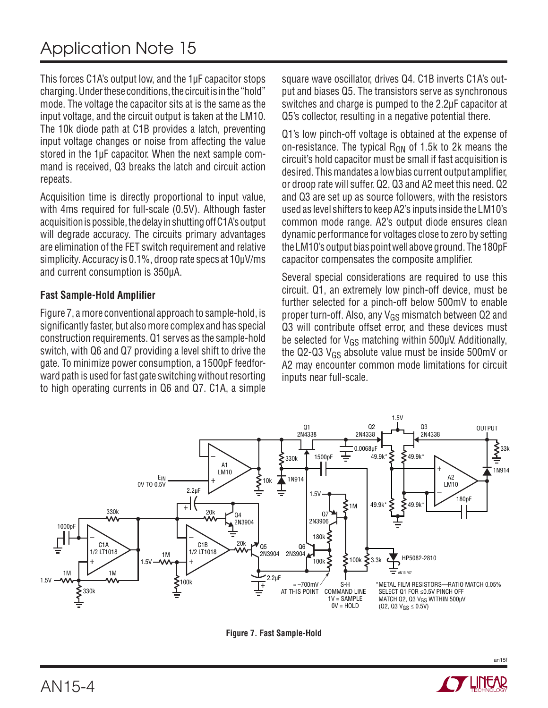This forces C1A's output low, and the 1µF capacitor stops charging. Under these conditions, the circuit is in the "hold" mode. The voltage the capacitor sits at is the same as the input voltage, and the circuit output is taken at the LM10. The 10k diode path at C1B provides a latch, preventing input voltage changes or noise from affecting the value stored in the 1μF capacitor. When the next sample command is received, Q3 breaks the latch and circuit action repeats.

Acquisition time is directly proportional to input value, with 4ms required for full-scale (0.5V). Although faster acquisition is possible, the delay in shutting off C1A's output will degrade accuracy. The circuits primary advantages are elimination of the FET switch requirement and relative simplicity. Accuracy is 0.1%, droop rate specs at 10μV/ms and current consumption is 350μA.

### **Fast Sample-Hold Amplifier**

Figure 7, a more conventional approach to sample-hold, is significantly faster, but also more complex and has special construction requirements. Q1 serves as the sample-hold switch, with Q6 and Q7 providing a level shift to drive the gate. To minimize power consumption, a 1500pF feedforward path is used for fast gate switching without resorting to high operating currents in Q6 and Q7. C1A, a simple square wave oscillator, drives Q4. C1B inverts C1A's output and biases Q5. The transistors serve as synchronous switches and charge is pumped to the 2.2μF capacitor at Q5's collector, resulting in a negative potential there.

Q1's low pinch-off voltage is obtained at the expense of on-resistance. The typical  $R_{ON}$  of 1.5k to 2k means the circuit's hold capacitor must be small if fast acquisition is desired. This mandates a low bias current output amplifier, or droop rate will suffer. Q2, Q3 and A2 meet this need. Q2 and Q3 are set up as source followers, with the resistors used as level shifters to keep A2's inputs inside the LM10's common mode range. A2's output diode ensures clean dynamic performance for voltages close to zero by setting the LM10's output bias point well above ground. The 180pF capacitor compensates the composite amplifier.

Several special considerations are required to use this circuit. Q1, an extremely low pinch-off device, must be further selected for a pinch-off below 500mV to enable proper turn-off. Also, any  $V_{GS}$  mismatch between Q2 and Q3 will contribute offset error, and these devices must be selected for  $V_{GS}$  matching within 500 $\mu$ V. Additionally, the Q2-Q3  $V_{GS}$  absolute value must be inside 500mV or A2 may encounter common mode limitations for circuit inputs near full-scale.

![](_page_3_Figure_8.jpeg)

**Figure 7. Fast Sample-Hold**

![](_page_3_Picture_10.jpeg)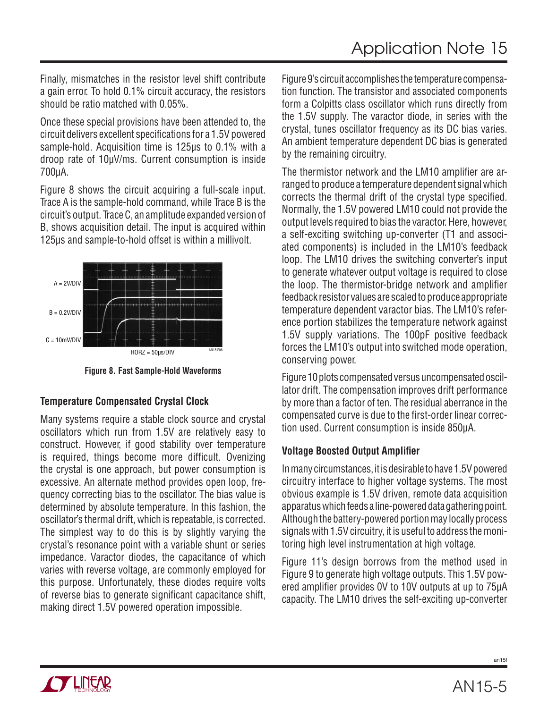Finally, mismatches in the resistor level shift contribute a gain error. To hold 0.1% circuit accuracy, the resistors should be ratio matched with 0.05%.

Once these special provisions have been attended to, the circuit delivers excellent specifications for a 1.5V powered sample-hold. Acquisition time is 125μs to 0.1% with a droop rate of 10μV/ms. Current consumption is inside 700μA.

Figure 8 shows the circuit acquiring a full-scale input. Trace A is the sample-hold command, while Trace B is the circuit's output. Trace C, an amplitude expanded version of B, shows acquisition detail. The input is acquired within 125μs and sample-to-hold offset is within a millivolt.

![](_page_4_Figure_4.jpeg)

**Figure 8. Fast Sample-Hold Waveforms**

## **Temperature Compensated Crystal Clock**

Many systems require a stable clock source and crystal oscillators which run from 1.5V are relatively easy to construct. However, if good stability over temperature is required, things become more difficult. Ovenizing the crystal is one approach, but power consumption is excessive. An alternate method provides open loop, frequency correcting bias to the oscillator. The bias value is determined by absolute temperature. In this fashion, the oscillator's thermal drift, which is repeatable, is corrected. The simplest way to do this is by slightly varying the crystal's resonance point with a variable shunt or series impedance. Varactor diodes, the capacitance of which varies with reverse voltage, are commonly employed for this purpose. Unfortunately, these diodes require volts of reverse bias to generate significant capacitance shift, making direct 1.5V powered operation impossible.

Figure 9's circuit accomplishes the temperature compensation function. The transistor and associated components form a Colpitts class oscillator which runs directly from the 1.5V supply. The varactor diode, in series with the crystal, tunes oscillator frequency as its DC bias varies. An ambient temperature dependent DC bias is generated by the remaining circuitry.

The thermistor network and the LM10 amplifier are arranged to produce a temperature dependent signal which corrects the thermal drift of the crystal type specified. Normally, the 1.5V powered LM10 could not provide the output levels required to bias the varactor. Here, however, a self-exciting switching up-converter (T1 and associated components) is included in the LM10's feedback loop. The LM10 drives the switching converter's input to generate whatever output voltage is required to close the loop. The thermistor-bridge network and amplifier feedback resistor values are scaled to produce appropriate temperature dependent varactor bias. The LM10's reference portion stabilizes the temperature network against 1.5V supply variations. The 100pF positive feedback forces the LM10's output into switched mode operation, conserving power.

Figure 10 plots compensated versus uncompensated oscillator drift. The compensation improves drift performance by more than a factor of ten. The residual aberrance in the compensated curve is due to the first-order linear correction used. Current consumption is inside 850μA.

## **Voltage Boosted Output Amplifier**

In many circumstances, it is desirable to have 1.5V powered circuitry interface to higher voltage systems. The most obvious example is 1.5V driven, remote data acquisition apparatus which feeds a line-powered data gathering point. Although the battery-powered portion may locally process signals with 1.5V circuitry, it is useful to address the monitoring high level instrumentation at high voltage.

Figure 11's design borrows from the method used in Figure 9 to generate high voltage outputs. This 1.5V powered amplifier provides 0V to 10V outputs at up to 75uA capacity. The LM10 drives the self-exciting up-converter

![](_page_4_Picture_14.jpeg)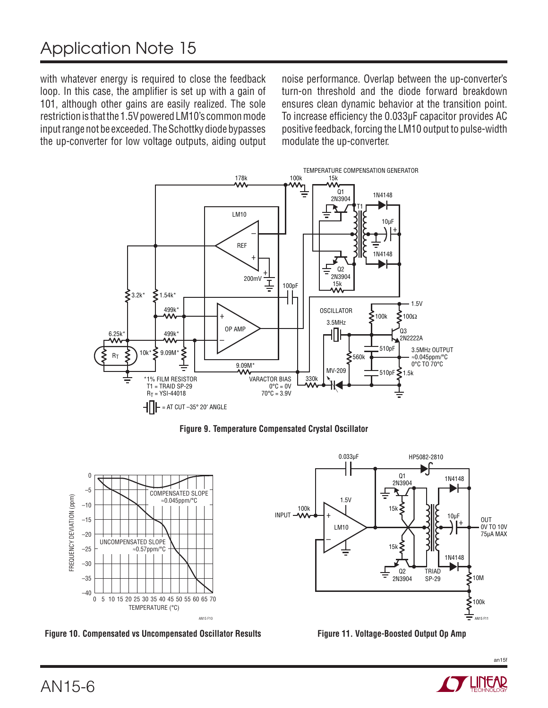# Application Note 15

with whatever energy is required to close the feedback loop. In this case, the amplifier is set up with a gain of 101, although other gains are easily realized. The sole restriction is that the 1.5V powered LM10's common mode input range not be exceeded. The Schottky diode bypasses the up-converter for low voltage outputs, aiding output noise performance. Overlap between the up-converter's turn-on threshold and the diode forward breakdown ensures clean dynamic behavior at the transition point. To increase efficiency the 0.033μF capacitor provides AC positive feedback, forcing the LM10 output to pulse-width modulate the up-converter.

![](_page_5_Figure_3.jpeg)

**Figure 9. Temperature Compensated Crystal Oscillator**

![](_page_5_Figure_5.jpeg)

**Figure 10. Compensated vs Uncompensated Oscillator Results Figure 11. Voltage-Boosted Output Op Amp**

![](_page_5_Figure_7.jpeg)

![](_page_5_Figure_8.jpeg)

![](_page_5_Picture_9.jpeg)

an15f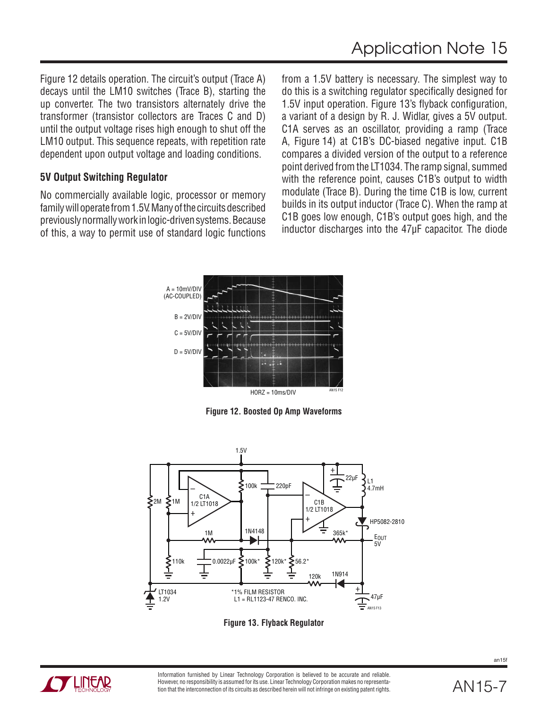Figure 12 details operation. The circuit's output (Trace A) decays until the LM10 switches (Trace B), starting the up converter. The two transistors alternately drive the transformer (transistor collectors are Traces C and D) until the output voltage rises high enough to shut off the LM10 output. This sequence repeats, with repetition rate dependent upon output voltage and loading conditions.

#### **5V Output Switching Regulator**

No commercially available logic, processor or memory family will operate from 1.5V. Many of the circuits described previously normally work in logic-driven systems. Because of this, a way to permit use of standard logic functions from a 1.5V battery is necessary. The simplest way to do this is a switching regulator specifically designed for 1.5V input operation. Figure 13's flyback configuration, a variant of a design by R. J. Widlar, gives a 5V output. C1A serves as an oscillator, providing a ramp (Trace A, Figure 14) at C1B's DC-biased negative input. C1B compares a divided version of the output to a reference point derived from the LT1034. The ramp signal, summed with the reference point, causes C1B's output to width modulate (Trace B). During the time C1B is low, current builds in its output inductor (Trace C). When the ramp at C1B goes low enough, C1B's output goes high, and the inductor discharges into the 47μF capacitor. The diode

![](_page_6_Figure_5.jpeg)

**Figure 12. Boosted Op Amp Waveforms**

![](_page_6_Figure_7.jpeg)

**Figure 13. Flyback Regulator**

![](_page_6_Picture_9.jpeg)